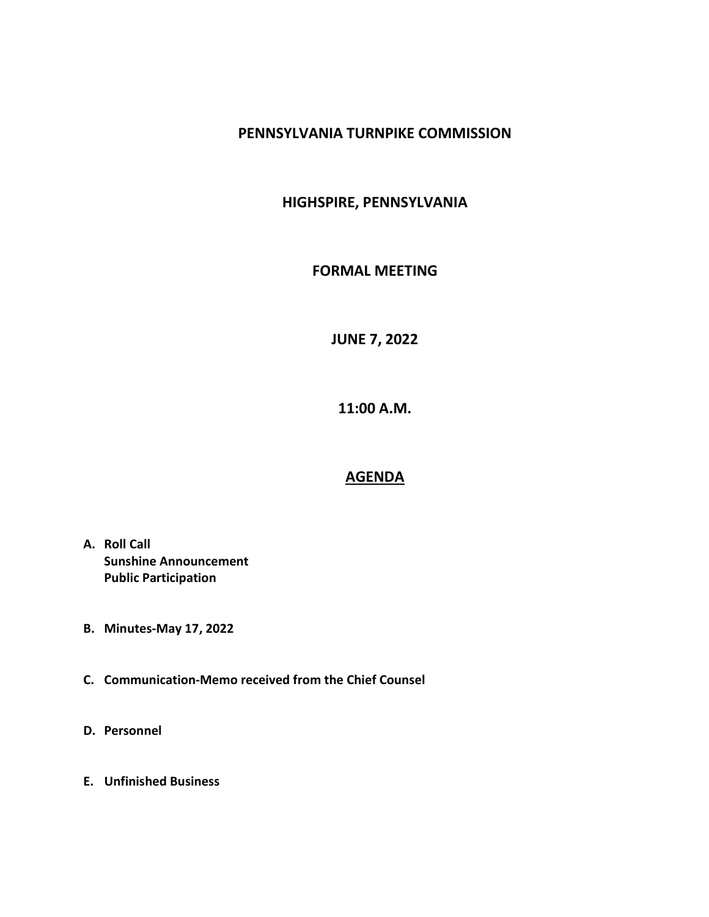## PENNSYLVANIA TURNPIKE COMMISSION

## HIGHSPIRE, PENNSYLVANIA

## FORMAL MEETING

JUNE 7, 2022

11:00 A.M.

## AGENDA

- A. Roll Call Sunshine Announcement Public Participation
- B. Minutes-May 17, 2022
- C. Communication-Memo received from the Chief Counsel
- D. Personnel
- E. Unfinished Business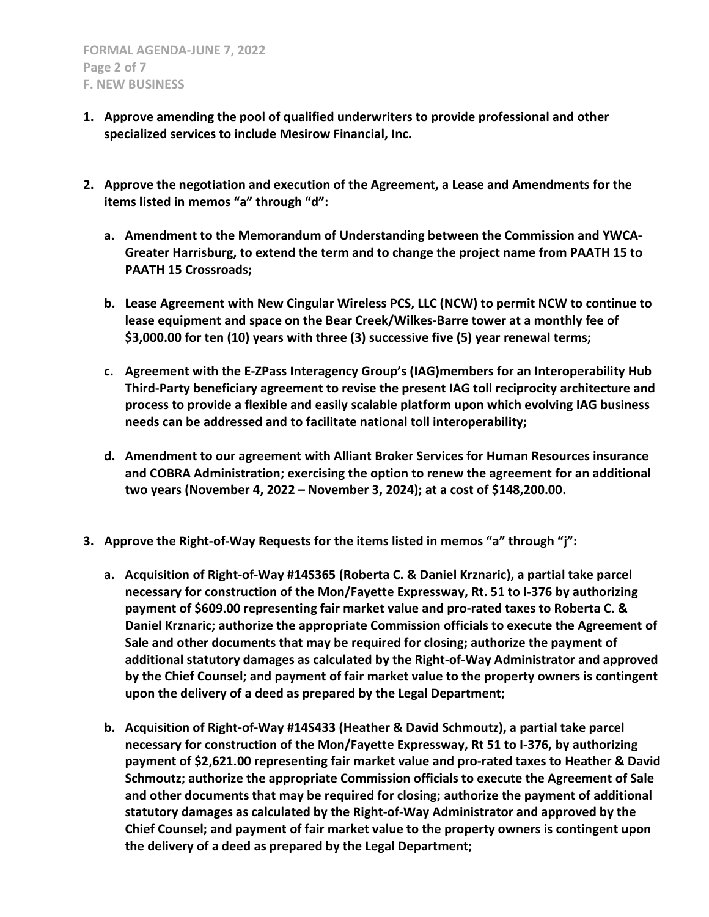- 1. Approve amending the pool of qualified underwriters to provide professional and other specialized services to include Mesirow Financial, Inc.
- 2. Approve the negotiation and execution of the Agreement, a Lease and Amendments for the items listed in memos "a" through "d":
	- a. Amendment to the Memorandum of Understanding between the Commission and YWCA-Greater Harrisburg, to extend the term and to change the project name from PAATH 15 to PAATH 15 Crossroads;
	- b. Lease Agreement with New Cingular Wireless PCS, LLC (NCW) to permit NCW to continue to lease equipment and space on the Bear Creek/Wilkes-Barre tower at a monthly fee of \$3,000.00 for ten (10) years with three (3) successive five (5) year renewal terms;
	- c. Agreement with the E-ZPass Interagency Group's (IAG)members for an Interoperability Hub Third-Party beneficiary agreement to revise the present IAG toll reciprocity architecture and process to provide a flexible and easily scalable platform upon which evolving IAG business needs can be addressed and to facilitate national toll interoperability;
	- d. Amendment to our agreement with Alliant Broker Services for Human Resources insurance and COBRA Administration; exercising the option to renew the agreement for an additional two years (November 4, 2022 – November 3, 2024); at a cost of \$148,200.00.
- 3. Approve the Right-of-Way Requests for the items listed in memos "a" through "j":
	- a. Acquisition of Right-of-Way #14S365 (Roberta C. & Daniel Krznaric), a partial take parcel necessary for construction of the Mon/Fayette Expressway, Rt. 51 to I-376 by authorizing payment of \$609.00 representing fair market value and pro-rated taxes to Roberta C. & Daniel Krznaric; authorize the appropriate Commission officials to execute the Agreement of Sale and other documents that may be required for closing; authorize the payment of additional statutory damages as calculated by the Right-of-Way Administrator and approved by the Chief Counsel; and payment of fair market value to the property owners is contingent upon the delivery of a deed as prepared by the Legal Department;
	- b. Acquisition of Right-of-Way #14S433 (Heather & David Schmoutz), a partial take parcel necessary for construction of the Mon/Fayette Expressway, Rt 51 to I-376, by authorizing payment of \$2,621.00 representing fair market value and pro-rated taxes to Heather & David Schmoutz; authorize the appropriate Commission officials to execute the Agreement of Sale and other documents that may be required for closing; authorize the payment of additional statutory damages as calculated by the Right-of-Way Administrator and approved by the Chief Counsel; and payment of fair market value to the property owners is contingent upon the delivery of a deed as prepared by the Legal Department;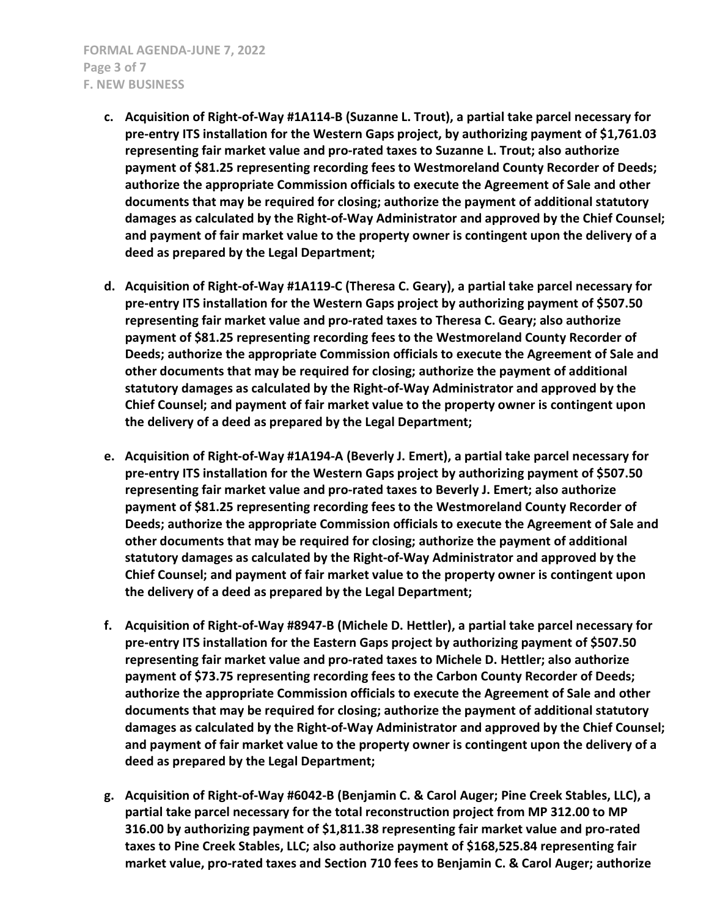- c. Acquisition of Right-of-Way #1A114-B (Suzanne L. Trout), a partial take parcel necessary for pre-entry ITS installation for the Western Gaps project, by authorizing payment of \$1,761.03 representing fair market value and pro-rated taxes to Suzanne L. Trout; also authorize payment of \$81.25 representing recording fees to Westmoreland County Recorder of Deeds; authorize the appropriate Commission officials to execute the Agreement of Sale and other documents that may be required for closing; authorize the payment of additional statutory damages as calculated by the Right-of-Way Administrator and approved by the Chief Counsel; and payment of fair market value to the property owner is contingent upon the delivery of a deed as prepared by the Legal Department;
- d. Acquisition of Right-of-Way #1A119-C (Theresa C. Geary), a partial take parcel necessary for pre-entry ITS installation for the Western Gaps project by authorizing payment of \$507.50 representing fair market value and pro-rated taxes to Theresa C. Geary; also authorize payment of \$81.25 representing recording fees to the Westmoreland County Recorder of Deeds; authorize the appropriate Commission officials to execute the Agreement of Sale and other documents that may be required for closing; authorize the payment of additional statutory damages as calculated by the Right-of-Way Administrator and approved by the Chief Counsel; and payment of fair market value to the property owner is contingent upon the delivery of a deed as prepared by the Legal Department;
- e. Acquisition of Right-of-Way #1A194-A (Beverly J. Emert), a partial take parcel necessary for pre-entry ITS installation for the Western Gaps project by authorizing payment of \$507.50 representing fair market value and pro-rated taxes to Beverly J. Emert; also authorize payment of \$81.25 representing recording fees to the Westmoreland County Recorder of Deeds; authorize the appropriate Commission officials to execute the Agreement of Sale and other documents that may be required for closing; authorize the payment of additional statutory damages as calculated by the Right-of-Way Administrator and approved by the Chief Counsel; and payment of fair market value to the property owner is contingent upon the delivery of a deed as prepared by the Legal Department;
- f. Acquisition of Right-of-Way #8947-B (Michele D. Hettler), a partial take parcel necessary for pre-entry ITS installation for the Eastern Gaps project by authorizing payment of \$507.50 representing fair market value and pro-rated taxes to Michele D. Hettler; also authorize payment of \$73.75 representing recording fees to the Carbon County Recorder of Deeds; authorize the appropriate Commission officials to execute the Agreement of Sale and other documents that may be required for closing; authorize the payment of additional statutory damages as calculated by the Right-of-Way Administrator and approved by the Chief Counsel; and payment of fair market value to the property owner is contingent upon the delivery of a deed as prepared by the Legal Department;
- g. Acquisition of Right-of-Way #6042-B (Benjamin C. & Carol Auger; Pine Creek Stables, LLC), a partial take parcel necessary for the total reconstruction project from MP 312.00 to MP 316.00 by authorizing payment of \$1,811.38 representing fair market value and pro-rated taxes to Pine Creek Stables, LLC; also authorize payment of \$168,525.84 representing fair market value, pro-rated taxes and Section 710 fees to Benjamin C. & Carol Auger; authorize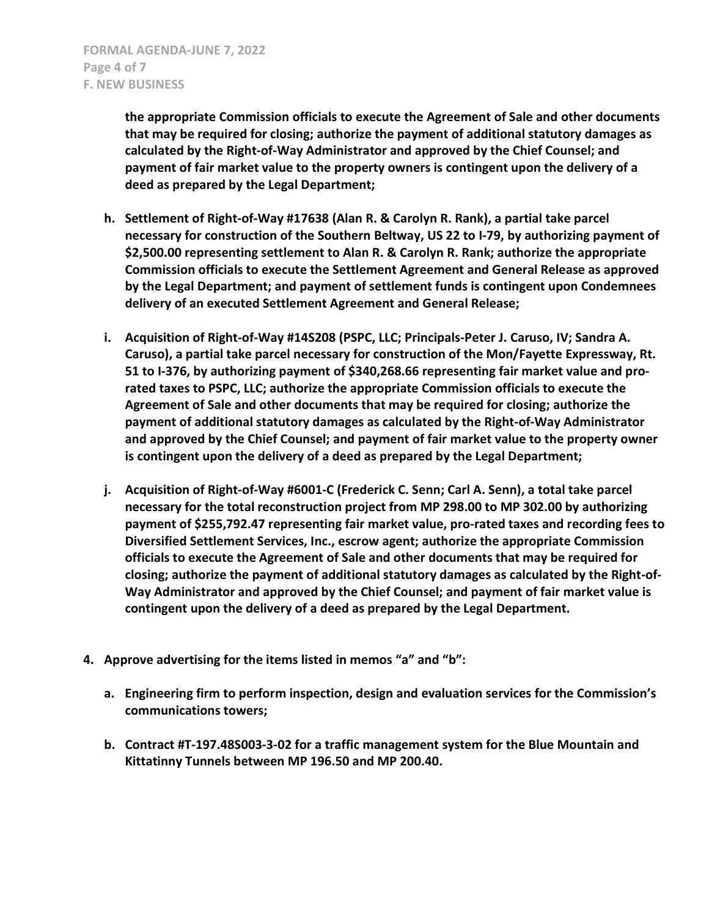the appropriate Commission officials to execute the Agreement of Sale and other documents that may be required for closing; authorize the payment of additional statutory damages as calculated by the Right-of-Way Administrator and approved by the Chief Counsel; and payment of fair market value to the property owners is contingent upon the delivery of a deed as prepared by the Legal Department;

- h. Settlement of Right-of-Way #17638 (Alan R. & Carolyn R. Rank), a partial take parcel necessary for construction of the Southern Beltway, US 22 to I-79, by authorizing payment of \$2,500.00 representing settlement to Alan R. & Carolyn R. Rank; authorize the appropriate Commission officials to execute the Settlement Agreement and General Release as approved by the Legal Department; and payment of settlement funds is contingent upon Condemnees delivery of an executed Settlement Agreement and General Release;
- i. Acquisition of Right-of-Way #14S208 (PSPC, LLC; Principals-Peter J. Caruso, IV; Sandra A. Caruso), a partial take parcel necessary for construction of the Mon/Fayette Expressway, Rt. 51 to I-376, by authorizing payment of \$340,268.66 representing fair market value and prorated taxes to PSPC, LLC; authorize the appropriate Commission officials to execute the Agreement of Sale and other documents that may be required for closing; authorize the payment of additional statutory damages as calculated by the Right-of-Way Administrator and approved by the Chief Counsel; and payment of fair market value to the property owner is contingent upon the delivery of a deed as prepared by the Legal Department;
- j. Acquisition of Right-of-Way #6001-C (Frederick C. Senn; Carl A. Senn), a total take parcel necessary for the total reconstruction project from MP 298.00 to MP 302.00 by authorizing payment of \$255,792.47 representing fair market value, pro-rated taxes and recording fees to Diversified Settlement Services, Inc., escrow agent; authorize the appropriate Commission officials to execute the Agreement of Sale and other documents that may be required for closing; authorize the payment of additional statutory damages as calculated by the Right-of-Way Administrator and approved by the Chief Counsel; and payment of fair market value is contingent upon the delivery of a deed as prepared by the Legal Department.
- 4. Approve advertising for the items listed in memos "a" and "b":
	- a. Engineering firm to perform inspection, design and evaluation services for the Commission's communications towers;
	- b. Contract #T-197.48S003-3-02 for a traffic management system for the Blue Mountain and Kittatinny Tunnels between MP 196.50 and MP 200.40.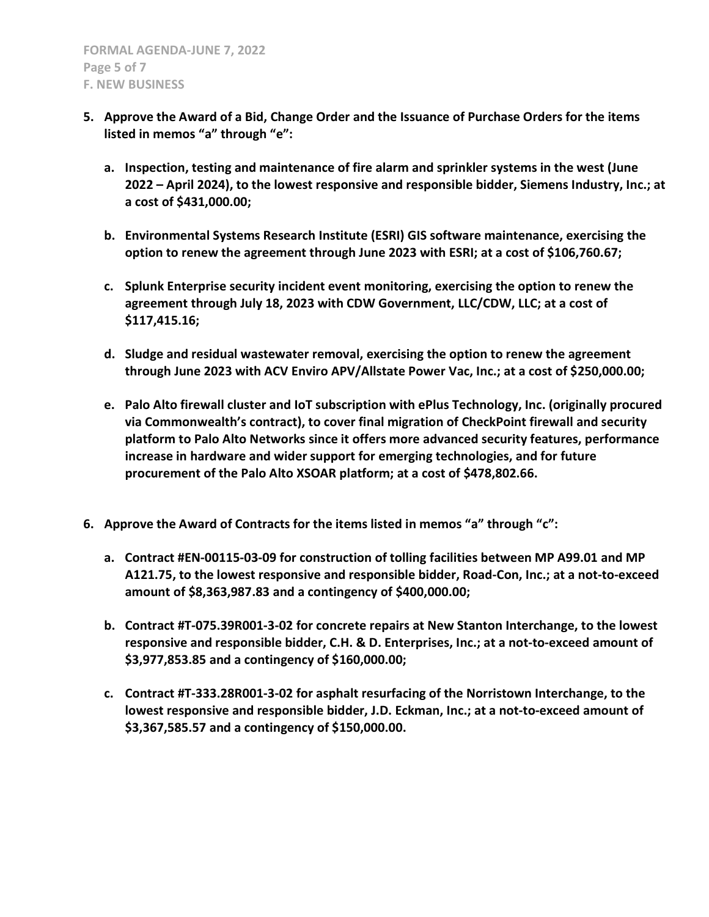- 5. Approve the Award of a Bid, Change Order and the Issuance of Purchase Orders for the items listed in memos "a" through "e":
	- a. Inspection, testing and maintenance of fire alarm and sprinkler systems in the west (June 2022 – April 2024), to the lowest responsive and responsible bidder, Siemens Industry, Inc.; at a cost of \$431,000.00;
	- b. Environmental Systems Research Institute (ESRI) GIS software maintenance, exercising the option to renew the agreement through June 2023 with ESRI; at a cost of \$106,760.67;
	- c. Splunk Enterprise security incident event monitoring, exercising the option to renew the agreement through July 18, 2023 with CDW Government, LLC/CDW, LLC; at a cost of \$117,415.16;
	- d. Sludge and residual wastewater removal, exercising the option to renew the agreement through June 2023 with ACV Enviro APV/Allstate Power Vac, Inc.; at a cost of \$250,000.00;
	- e. Palo Alto firewall cluster and IoT subscription with ePlus Technology, Inc. (originally procured via Commonwealth's contract), to cover final migration of CheckPoint firewall and security platform to Palo Alto Networks since it offers more advanced security features, performance increase in hardware and wider support for emerging technologies, and for future procurement of the Palo Alto XSOAR platform; at a cost of \$478,802.66.
- 6. Approve the Award of Contracts for the items listed in memos "a" through "c":
	- a. Contract #EN-00115-03-09 for construction of tolling facilities between MP A99.01 and MP A121.75, to the lowest responsive and responsible bidder, Road-Con, Inc.; at a not-to-exceed amount of \$8,363,987.83 and a contingency of \$400,000.00;
	- b. Contract #T-075.39R001-3-02 for concrete repairs at New Stanton Interchange, to the lowest responsive and responsible bidder, C.H. & D. Enterprises, Inc.; at a not-to-exceed amount of \$3,977,853.85 and a contingency of \$160,000.00;
	- c. Contract #T-333.28R001-3-02 for asphalt resurfacing of the Norristown Interchange, to the lowest responsive and responsible bidder, J.D. Eckman, Inc.; at a not-to-exceed amount of \$3,367,585.57 and a contingency of \$150,000.00.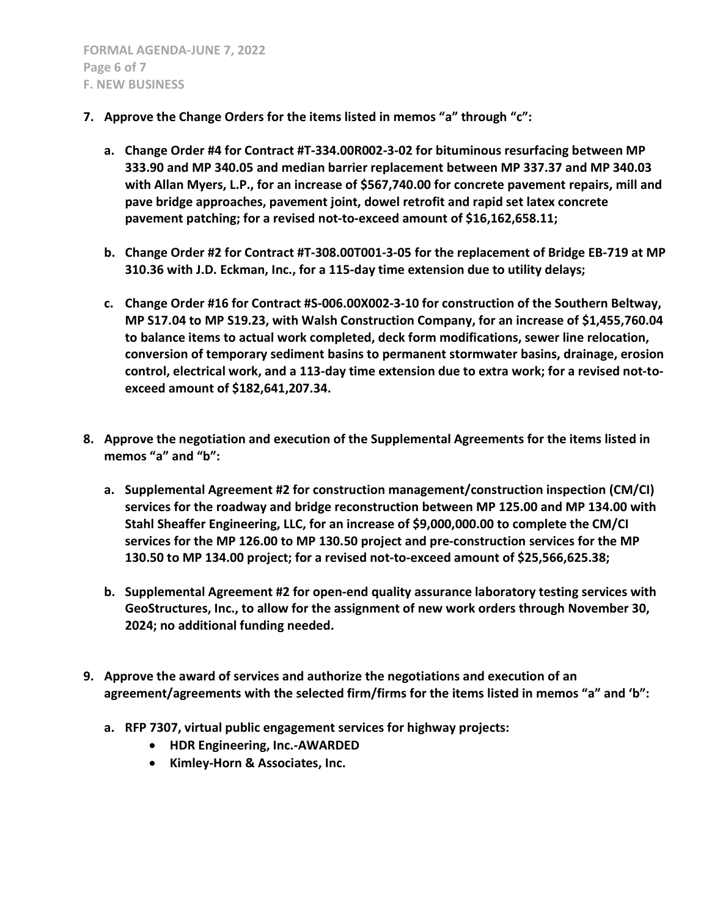- 7. Approve the Change Orders for the items listed in memos "a" through "c":
	- a. Change Order #4 for Contract #T-334.00R002-3-02 for bituminous resurfacing between MP 333.90 and MP 340.05 and median barrier replacement between MP 337.37 and MP 340.03 with Allan Myers, L.P., for an increase of \$567,740.00 for concrete pavement repairs, mill and pave bridge approaches, pavement joint, dowel retrofit and rapid set latex concrete pavement patching; for a revised not-to-exceed amount of \$16,162,658.11;
	- b. Change Order #2 for Contract #T-308.00T001-3-05 for the replacement of Bridge EB-719 at MP 310.36 with J.D. Eckman, Inc., for a 115-day time extension due to utility delays;
	- c. Change Order #16 for Contract #S-006.00X002-3-10 for construction of the Southern Beltway, MP S17.04 to MP S19.23, with Walsh Construction Company, for an increase of \$1,455,760.04 to balance items to actual work completed, deck form modifications, sewer line relocation, conversion of temporary sediment basins to permanent stormwater basins, drainage, erosion control, electrical work, and a 113-day time extension due to extra work; for a revised not-toexceed amount of \$182,641,207.34.
- 8. Approve the negotiation and execution of the Supplemental Agreements for the items listed in memos "a" and "b":
	- a. Supplemental Agreement #2 for construction management/construction inspection (CM/CI) services for the roadway and bridge reconstruction between MP 125.00 and MP 134.00 with Stahl Sheaffer Engineering, LLC, for an increase of \$9,000,000.00 to complete the CM/CI services for the MP 126.00 to MP 130.50 project and pre-construction services for the MP 130.50 to MP 134.00 project; for a revised not-to-exceed amount of \$25,566,625.38;
	- b. Supplemental Agreement #2 for open-end quality assurance laboratory testing services with GeoStructures, Inc., to allow for the assignment of new work orders through November 30, 2024; no additional funding needed.
- 9. Approve the award of services and authorize the negotiations and execution of an agreement/agreements with the selected firm/firms for the items listed in memos "a" and 'b":
	- a. RFP 7307, virtual public engagement services for highway projects:
		- HDR Engineering, Inc.-AWARDED
		- Kimley-Horn & Associates, Inc.